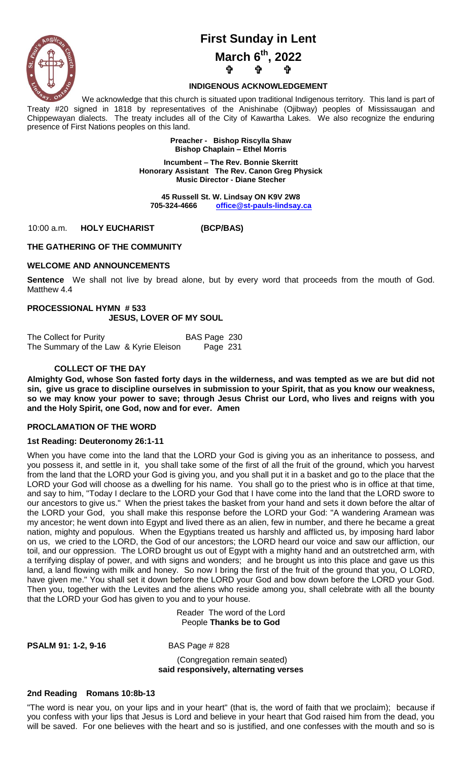

# **First Sunday in Lent**

**March 6 th , 2022 ታ \$ \$** 

## **INDIGENOUS ACKNOWLEDGEMENT**

We acknowledge that this church is situated upon traditional Indigenous territory. This land is part of Treaty #20 signed in 1818 by representatives of the Anishinabe (Ojibway) peoples of Mississaugan and Chippewayan dialects. The treaty includes all of the City of Kawartha Lakes. We also recognize the enduring presence of First Nations peoples on this land.

#### **Preacher - Bishop Riscylla Shaw Bishop Chaplain – Ethel Morris**

**Incumbent – The Rev. Bonnie Skerritt Honorary Assistant The Rev. Canon Greg Physick Music Director - Diane Stecher**

**45 Russell St. W. Lindsay ON K9V 2W8 705-324-4666 [office@st-pauls-lindsay.ca](mailto:office@st-pauls-lindsay.ca)**

10:00 a.m. **HOLY EUCHARIST (BCP/BAS)** 

# **THE GATHERING OF THE COMMUNITY**

# **WELCOME AND ANNOUNCEMENTS**

Sentence We shall not live by bread alone, but by every word that proceeds from the mouth of God. Matthew 4.4

# **PROCESSIONAL HYMN # 533 JESUS, LOVER OF MY SOUL**

The Collect for Purity **BAS Page 230** The Summary of the Law & Kyrie Eleison Page 231

# **COLLECT OF THE DAY**

**Almighty God, whose Son fasted forty days in the wilderness, and was tempted as we are but did not sin, give us grace to discipline ourselves in submission to your Spirit, that as you know our weakness, so we may know your power to save; through Jesus Christ our Lord, who lives and reigns with you and the Holy Spirit, one God, now and for ever. Amen**

# **PROCLAMATION OF THE WORD**

# **1st Reading: Deuteronomy 26:1-11**

When you have come into the land that the LORD your God is giving you as an inheritance to possess, and you possess it, and settle in it, you shall take some of the first of all the fruit of the ground, which you harvest from the land that the LORD your God is giving you, and you shall put it in a basket and go to the place that the LORD your God will choose as a dwelling for his name. You shall go to the priest who is in office at that time, and say to him, "Today I declare to the LORD your God that I have come into the land that the LORD swore to our ancestors to give us." When the priest takes the basket from your hand and sets it down before the altar of the LORD your God, you shall make this response before the LORD your God: "A wandering Aramean was my ancestor; he went down into Egypt and lived there as an alien, few in number, and there he became a great nation, mighty and populous. When the Egyptians treated us harshly and afflicted us, by imposing hard labor on us, we cried to the LORD, the God of our ancestors; the LORD heard our voice and saw our affliction, our toil, and our oppression. The LORD brought us out of Egypt with a mighty hand and an outstretched arm, with a terrifying display of power, and with signs and wonders; and he brought us into this place and gave us this land, a land flowing with milk and honey. So now I bring the first of the fruit of the ground that you, O LORD, have given me." You shall set it down before the LORD your God and bow down before the LORD your God. Then you, together with the Levites and the aliens who reside among you, shall celebrate with all the bounty that the LORD your God has given to you and to your house.

> Reader The word of the Lord People **Thanks be to God**

**PSALM 91: 1-2, 9-16** BAS Page # 828

(Congregation remain seated) **said responsively, alternating verses**

#### **2nd Reading Romans 10:8b-13**

"The word is near you, on your lips and in your heart" (that is, the word of faith that we proclaim); because if you confess with your lips that Jesus is Lord and believe in your heart that God raised him from the dead, you will be saved. For one believes with the heart and so is justified, and one confesses with the mouth and so is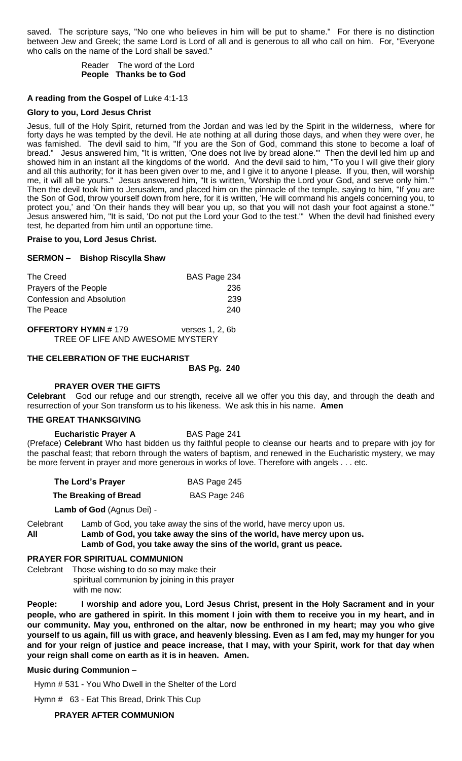saved. The scripture says, "No one who believes in him will be put to shame." For there is no distinction between Jew and Greek; the same Lord is Lord of all and is generous to all who call on him. For, "Everyone who calls on the name of the Lord shall be saved."

#### Reader The word of the Lord **People Thanks be to God**

#### **A reading from the Gospel of** Luke 4:1-13

## **Glory to you, Lord Jesus Christ**

Jesus, full of the Holy Spirit, returned from the Jordan and was led by the Spirit in the wilderness, where for forty days he was tempted by the devil. He ate nothing at all during those days, and when they were over, he was famished. The devil said to him, "If you are the Son of God, command this stone to become a loaf of bread." Jesus answered him, "It is written, 'One does not live by bread alone.'" Then the devil led him up and showed him in an instant all the kingdoms of the world. And the devil said to him, "To you I will give their glory and all this authority; for it has been given over to me, and I give it to anyone I please. If you, then, will worship me, it will all be yours." Jesus answered him, "It is written, 'Worship the Lord your God, and serve only him.'" Then the devil took him to Jerusalem, and placed him on the pinnacle of the temple, saying to him, "If you are the Son of God, throw yourself down from here, for it is written, 'He will command his angels concerning you, to protect you,' and 'On their hands they will bear you up, so that you will not dash your foot against a stone.' Jesus answered him, "It is said, 'Do not put the Lord your God to the test.'" When the devil had finished every test, he departed from him until an opportune time.

#### **Praise to you, Lord Jesus Christ.**

#### **SERMON – Bishop Riscylla Shaw**

| The Creed                 | BAS Page 234 |
|---------------------------|--------------|
| Prayers of the People     | 236          |
| Confession and Absolution | 239          |
| The Peace                 | 240          |

# **OFFERTORY HYMN** # 179 verses 1, 2, 6b TREE OF LIFE AND AWESOME MYSTERY

# **THE CELEBRATION OF THE EUCHARIST**

 **BAS Pg. 240**

# **PRAYER OVER THE GIFTS**

**Celebrant** God our refuge and our strength, receive all we offer you this day, and through the death and resurrection of your Son transform us to his likeness. We ask this in his name. **Amen**

## **THE GREAT THANKSGIVING**

#### **Eucharistic Prayer A** BAS Page 241

(Preface) **Celebrant** Who hast bidden us thy faithful people to cleanse our hearts and to prepare with joy for the paschal feast; that reborn through the waters of baptism, and renewed in the Eucharistic mystery, we may be more fervent in prayer and more generous in works of love. Therefore with angels . . . etc.

| The Lord's Prayer | BAS Page 245 |
|-------------------|--------------|
|-------------------|--------------|

| The Breaking of Bread | BAS Page 246 |
|-----------------------|--------------|
|-----------------------|--------------|

**Lamb of God** (Agnus Dei) -

Celebrant Lamb of God, you take away the sins of the world, have mercy upon us. **All Lamb of God, you take away the sins of the world, have mercy upon us. Lamb of God, you take away the sins of the world, grant us peace.** 

#### **PRAYER FOR SPIRITUAL COMMUNION**

Celebrant Those wishing to do so may make their spiritual communion by joining in this prayer with me now:

**People: I worship and adore you, Lord Jesus Christ, present in the Holy Sacrament and in your people, who are gathered in spirit. In this moment I join with them to receive you in my heart, and in our community. May you, enthroned on the altar, now be enthroned in my heart; may you who give yourself to us again, fill us with grace, and heavenly blessing. Even as I am fed, may my hunger for you and for your reign of justice and peace increase, that I may, with your Spirit, work for that day when your reign shall come on earth as it is in heaven. Amen.**

#### **Music during Communion** –

Hymn # 531 - You Who Dwell in the Shelter of the Lord

Hymn # 63 - Eat This Bread, Drink This Cup

#### **PRAYER AFTER COMMUNION**